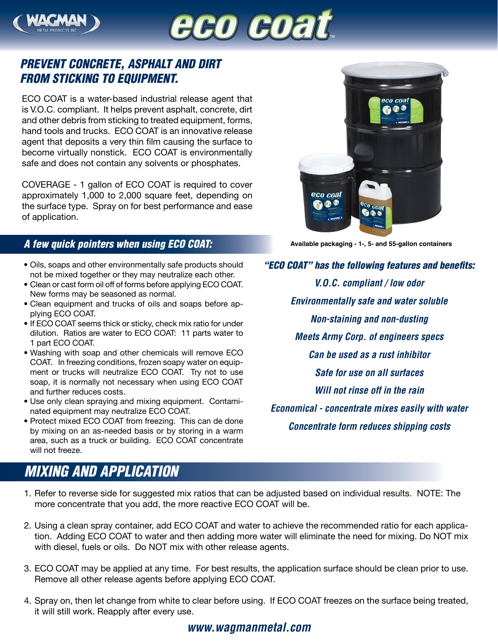



## *PREVENT CONCRETE, ASPHALT AND DIRT FROM STICKING TO EQUIPMENT.*

ECO COAT is a water-based industrial release agent that is V.O.C. compliant. It helps prevent asphalt, concrete, dirt and other debris from sticking to treated equipment, forms, hand tools and trucks. ECO COAT is an innovative release agent that deposits a very thin film causing the surface to become virtually nonstick. ECO COAT is environmentally safe and does not contain any solvents or phosphates.

COVERAGE - 1 gallon of ECO COAT is required to cover approximately 1,000 to 2,000 square feet, depending on the surface type. Spray on for best performance and ease of application.

## *A few quick pointers when using ECO COAT:*

- Oils, soaps and other environmentally safe products should not be mixed together or they may neutralize each other.
- Clean or cast form oil off of forms before applying ECO COAT. New forms may be seasoned as normal.
- Clean equipment and trucks of oils and soaps before applying ECO COAT.
- If ECO COAT seems thick or sticky, check mix ratio for under dilution. Ratios are water to ECO COAT: 11 parts water to 1 part ECO COAT.
- Washing with soap and other chemicals will remove ECO COAT. In freezing conditions, frozen soapy water on equipment or trucks will neutralize ECO COAT. Try not to use soap, it is normally not necessary when using ECO COAT and further reduces costs.
- Use only clean spraying and mixing equipment. Contaminated equipment may neutralize ECO COAT.
- Protect mixed ECO COAT from freezing. This can de done by mixing on an as-needed basis or by storing in a warm area, such as a truck or building. ECO COAT concentrate will not freeze.

## *MIXING AND APPLICATION*



**Available packaging - 1-, 5- and 55-gallon containers**

*"ECO COAT" has the following features and benefits: V.O.C. compliant / low odor Environmentally safe and water soluble Non-staining and non-dusting Meets Army Corp. of engineers specs Can be used as a rust inhibitor Safe for use on all surfaces Will not rinse off in the rain Economical - concentrate mixes easily with water Concentrate form reduces shipping costs*

- 1. Refer to reverse side for suggested mix ratios that can be adjusted based on individual results. NOTE: The more concentrate that you add, the more reactive ECO COAT will be.
- 2. Using a clean spray container, add ECO COAT and water to achieve the recommended ratio for each application. Adding ECO COAT to water and then adding more water will eliminate the need for mixing. Do NOT mix with diesel, fuels or oils. Do NOT mix with other release agents.
- 3. ECO COAT may be applied at any time. For best results, the application surface should be clean prior to use. Remove all other release agents before applying ECO COAT.
- 4. Spray on, then let change from white to clear before using. If ECO COAT freezes on the surface being treated, it will still work. Reapply after every use.